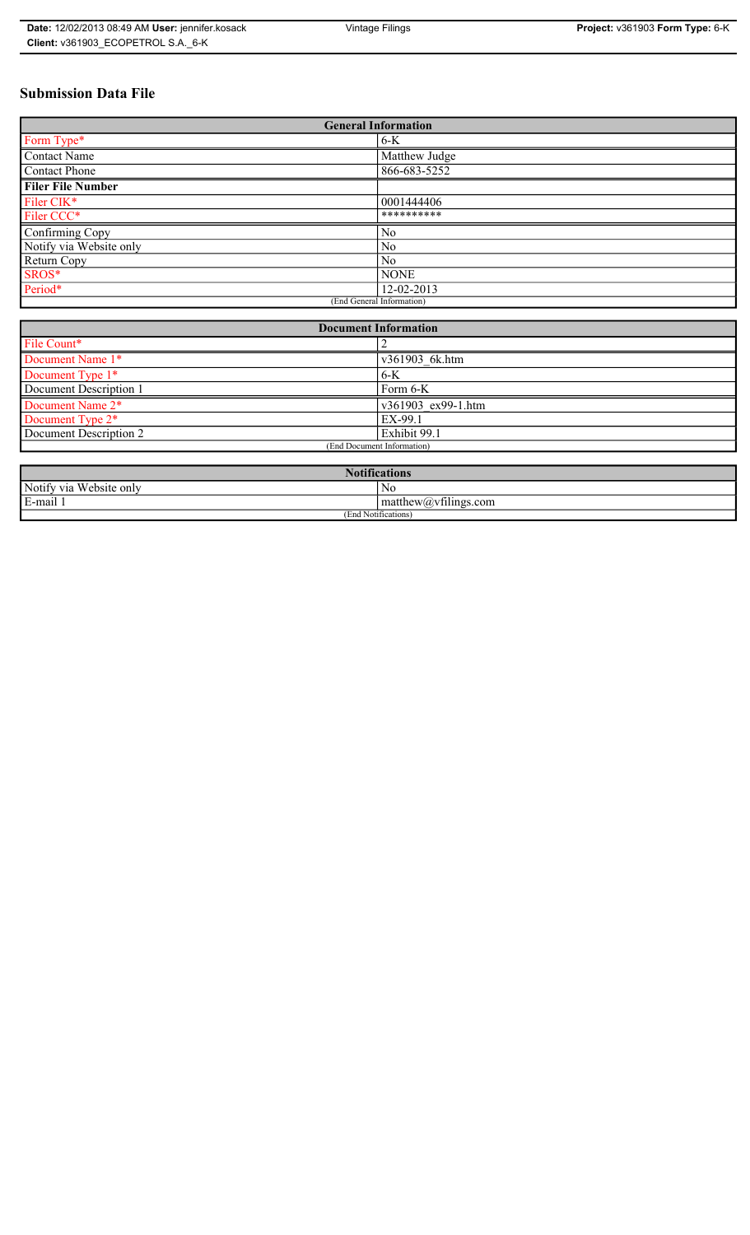# **Submission Data File**

| <b>General Information</b> |                |  |
|----------------------------|----------------|--|
| Form Type*                 | $6-K$          |  |
| <b>Contact Name</b>        | Matthew Judge  |  |
| <b>Contact Phone</b>       | 866-683-5252   |  |
| <b>Filer File Number</b>   |                |  |
| Filer CIK*                 | 0001444406     |  |
| Filer CCC*                 | **********     |  |
| Confirming Copy            | N <sub>0</sub> |  |
| Notify via Website only    | N <sub>0</sub> |  |
| Return Copy                | N <sub>0</sub> |  |
| SROS*                      | <b>NONE</b>    |  |
| Period*                    | 12-02-2013     |  |
| (End General Information)  |                |  |

| <b>Document Information</b>  |                    |  |
|------------------------------|--------------------|--|
| File Count*                  |                    |  |
| Document Name 1*             | v361903 6k.htm     |  |
| Document Type 1*             | $6-K$              |  |
| Document Description 1       | Form 6-K           |  |
| Document Name 2*             | v361903 ex99-1.htm |  |
| Document Type 2 <sup>*</sup> | EX-99.1            |  |
| Document Description 2       | Exhibit 99.1       |  |
| (End Document Information)   |                    |  |
|                              |                    |  |

| <b>Notifications</b>                    |                                                   |  |
|-----------------------------------------|---------------------------------------------------|--|
| Notify via<br>Website only              | No                                                |  |
| .<br>$\overline{\phantom{0}}$<br>E-mail | $\sim$ 1.<br>$math>math>matrix(a)$ , willings.com |  |
| (End Notifications)                     |                                                   |  |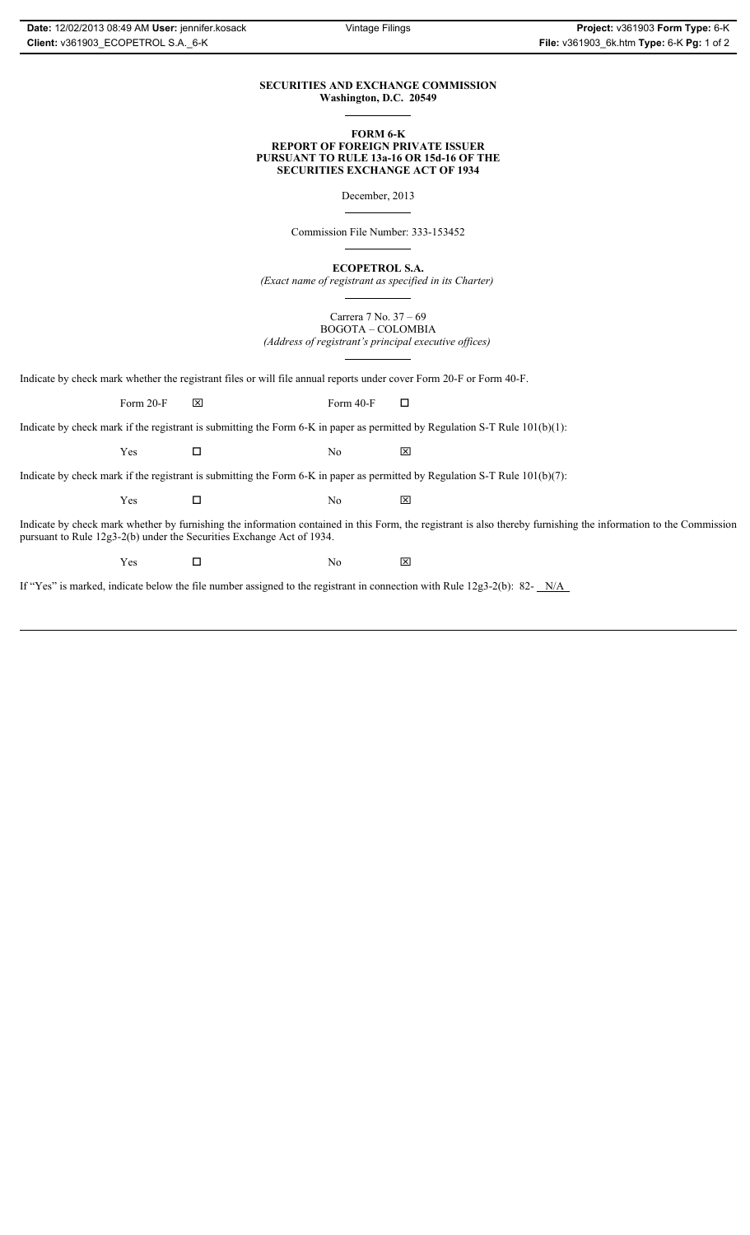#### **SECURITIES AND EXCHANGE COMMISSION Washington, D.C. 20549**

#### **FORM 6-K REPORT OF FOREIGN PRIVATE ISSUER PURSUANT TO RULE 13a-16 OR 15d-16 OF THE SECURITIES EXCHANGE ACT OF 1934**

December, 2013

Commission File Number: 333-153452

**ECOPETROL S.A.**

*(Exact name of registrant as specified in its Charter)*

Carrera 7 No. 37 – 69 BOGOTA – COLOMBIA *(Address of registrant's principal executive offices)*

Indicate by check mark whether the registrant files or will file annual reports under cover Form 20-F or Form 40-F.

Form 20-F  $\boxtimes$  Form 40-F  $\Box$ 

Indicate by check mark if the registrant is submitting the Form 6-K in paper as permitted by Regulation S-T Rule 101(b)(1):

 $Yes$   $\Box$  No  $X$ 

Indicate by check mark if the registrant is submitting the Form 6-K in paper as permitted by Regulation S-T Rule 101(b)(7):

 $Yes$   $\Box$  No  $X$ 

Indicate by check mark whether by furnishing the information contained in this Form, the registrant is also thereby furnishing the information to the Commission pursuant to Rule 12g3-2(b) under the Securities Exchange Act of 1934.

 $Yes$   $\Box$  No  $X$ 

If "Yes" is marked, indicate below the file number assigned to the registrant in connection with Rule 12g3-2(b): 82- N/A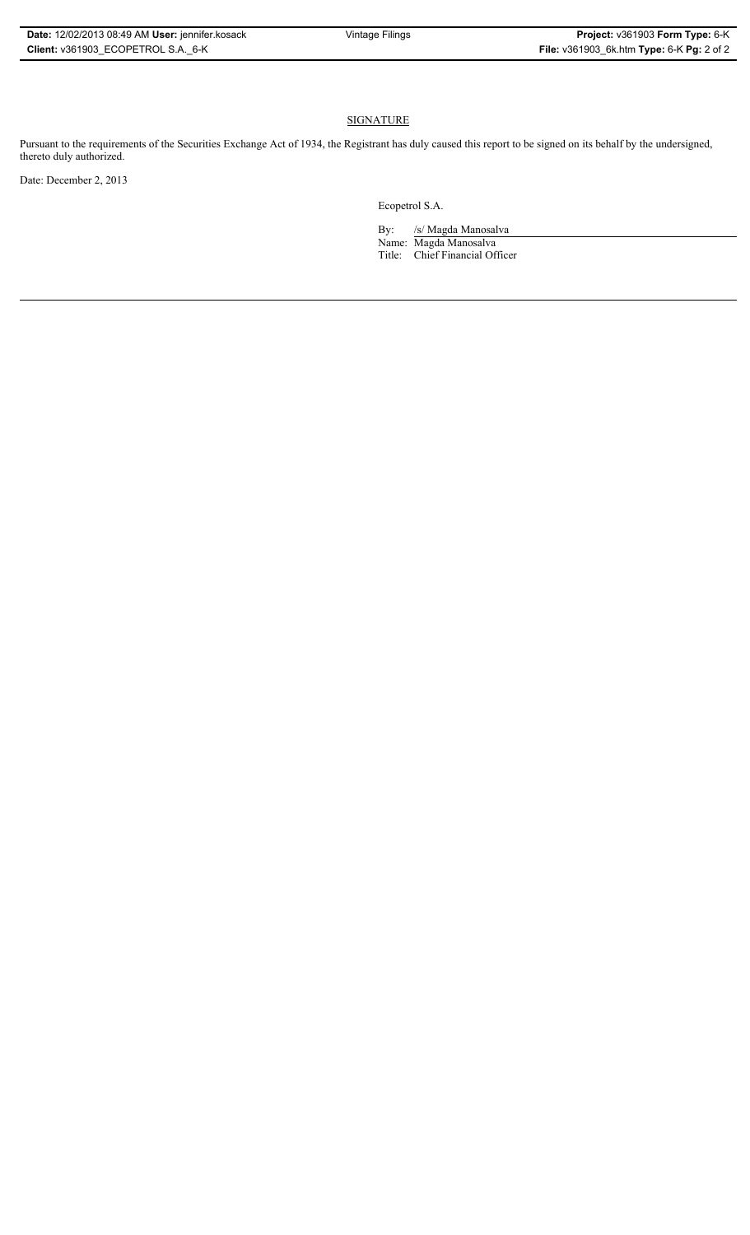#### **SIGNATURE**

Pursuant to the requirements of the Securities Exchange Act of 1934, the Registrant has duly caused this report to be signed on its behalf by the undersigned, thereto duly authorized.

Date: December 2, 2013

Ecopetrol S.A.

By: /s/ Magda Manosalva Name: Magda Manosalva Title: Chief Financial Officer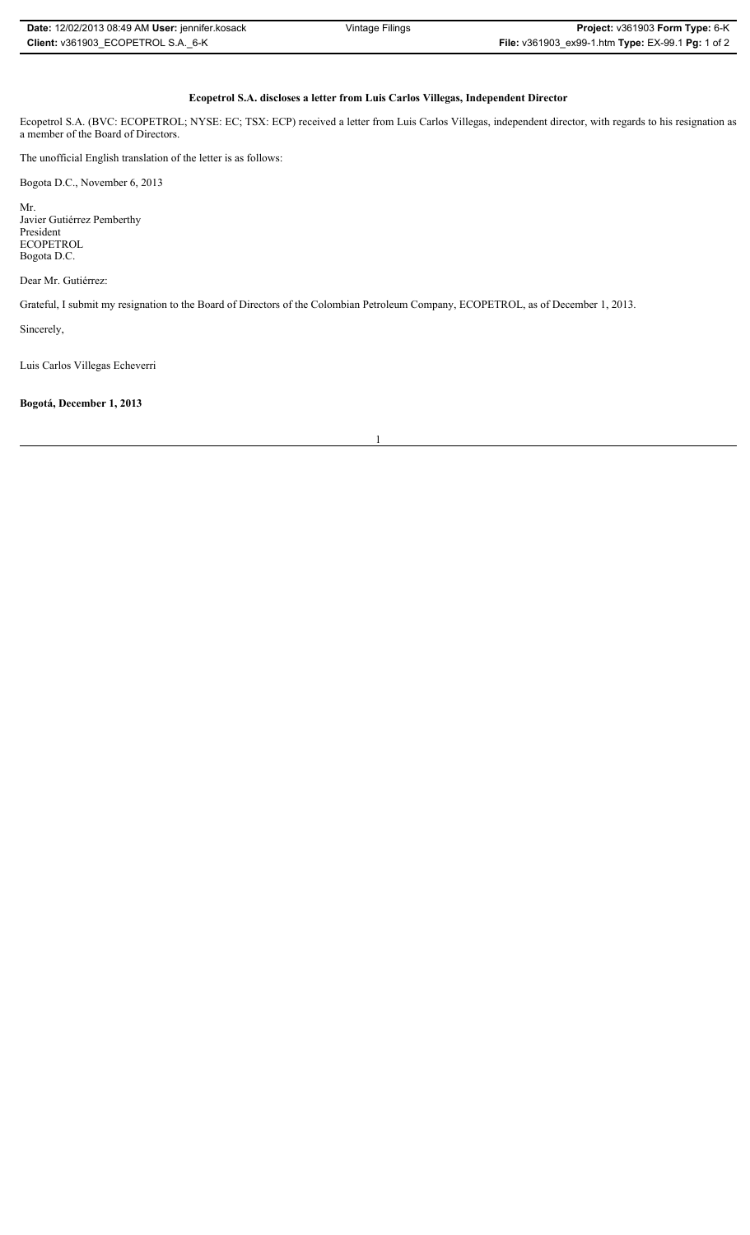| <b>Date: 12/02/2013 08:49 AM User: jennifer kosack</b> | Vintage Filings | <b>Project:</b> $v361903$ Form Type: $6-K$        |
|--------------------------------------------------------|-----------------|---------------------------------------------------|
| Client: v361903 ECOPETROL S.A. 6-K                     |                 | File: v361903_ex99-1.htm Type: EX-99.1 Pg: 1 of 2 |

## **Ecopetrol S.A. discloses a letter from Luis Carlos Villegas, Independent Director**

Ecopetrol S.A. (BVC: ECOPETROL; NYSE: EC; TSX: ECP) received a letter from Luis Carlos Villegas, independent director, with regards to his resignation as a member of the Board of Directors.

The unofficial English translation of the letter is as follows:

Bogota D.C., November 6, 2013

Mr. Javier Gutiérrez Pemberthy President ECOPETROL Bogota D.C.

Dear Mr. Gutiérrez:

Grateful, I submit my resignation to the Board of Directors of the Colombian Petroleum Company, ECOPETROL, as of December 1, 2013.

Sincerely,

Luis Carlos Villegas Echeverri

**Bogotá, December 1, 2013**